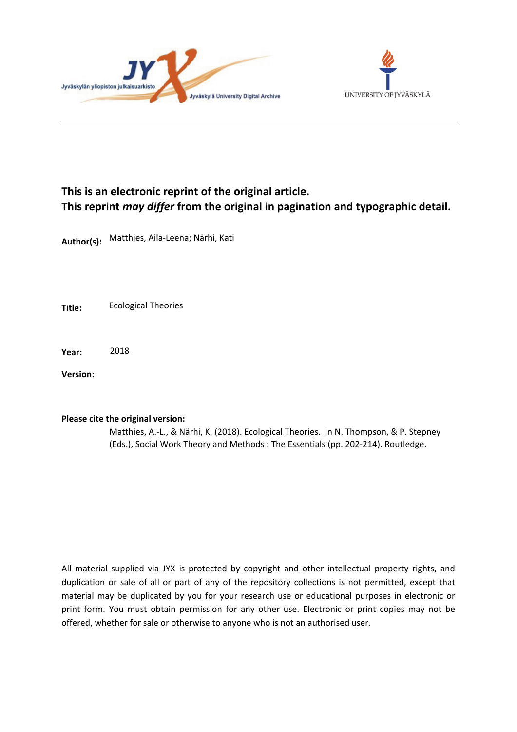



# **This is an electronic reprint of the original article. This reprint** *may differ* **from the original in pagination and typographic detail.**

**Author(s):**  Matthies, Aila-Leena; Närhi, Kati

**Title:** Ecological Theories

**Year:**  2018

**Version:**

#### **Please cite the original version:**

Matthies, A.-L., & Närhi, K. (2018). Ecological Theories. In N. Thompson, & P. Stepney (Eds.), Social Work Theory and Methods : The Essentials (pp. 202-214). Routledge.

All material supplied via JYX is protected by copyright and other intellectual property rights, and duplication or sale of all or part of any of the repository collections is not permitted, except that material may be duplicated by you for your research use or educational purposes in electronic or print form. You must obtain permission for any other use. Electronic or print copies may not be offered, whether for sale or otherwise to anyone who is not an authorised user.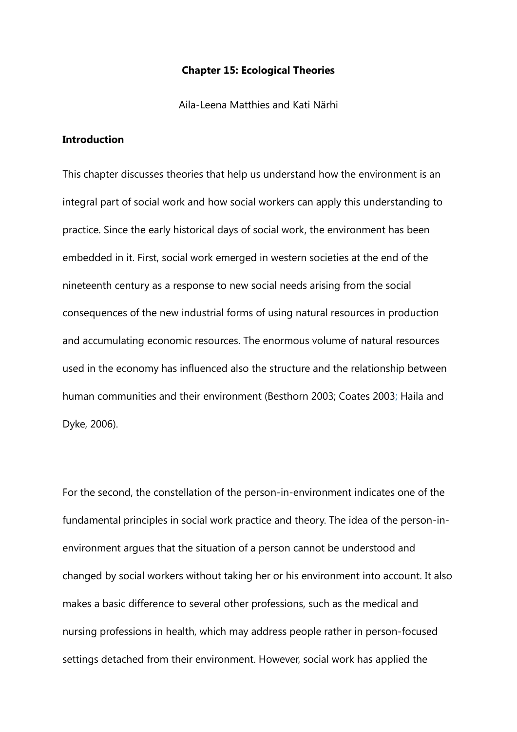#### **Chapter 15: Ecological Theories**

Aila-Leena Matthies and Kati Närhi

### **Introduction**

This chapter discusses theories that help us understand how the environment is an integral part of social work and how social workers can apply this understanding to practice. Since the early historical days of social work, the environment has been embedded in it. First, social work emerged in western societies at the end of the nineteenth century as a response to new social needs arising from the social consequences of the new industrial forms of using natural resources in production and accumulating economic resources. The enormous volume of natural resources used in the economy has influenced also the structure and the relationship between human communities and their environment (Besthorn 2003; Coates 2003; Haila and Dyke, 2006).

For the second, the constellation of the person-in-environment indicates one of the fundamental principles in social work practice and theory. The idea of the person-inenvironment argues that the situation of a person cannot be understood and changed by social workers without taking her or his environment into account. It also makes a basic difference to several other professions, such as the medical and nursing professions in health, which may address people rather in person-focused settings detached from their environment. However, social work has applied the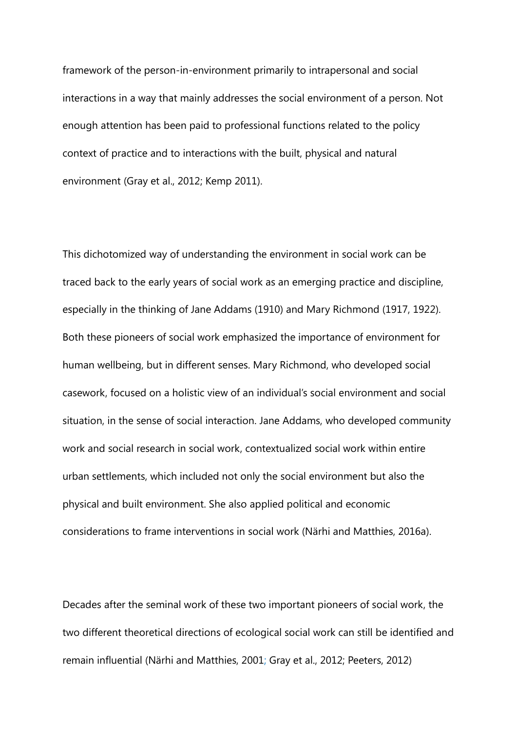framework of the person-in-environment primarily to intrapersonal and social interactions in a way that mainly addresses the social environment of a person. Not enough attention has been paid to professional functions related to the policy context of practice and to interactions with the built, physical and natural environment (Gray et al., 2012; Kemp 2011).

This dichotomized way of understanding the environment in social work can be traced back to the early years of social work as an emerging practice and discipline, especially in the thinking of Jane Addams (1910) and Mary Richmond (1917, 1922). Both these pioneers of social work emphasized the importance of environment for human wellbeing, but in different senses. Mary Richmond, who developed social casework, focused on a holistic view of an individual's social environment and social situation, in the sense of social interaction. Jane Addams, who developed community work and social research in social work, contextualized social work within entire urban settlements, which included not only the social environment but also the physical and built environment. She also applied political and economic considerations to frame interventions in social work (Närhi and Matthies, 2016a).

Decades after the seminal work of these two important pioneers of social work, the two different theoretical directions of ecological social work can still be identified and remain influential (Närhi and Matthies, 2001; Gray et al., 2012; Peeters, 2012)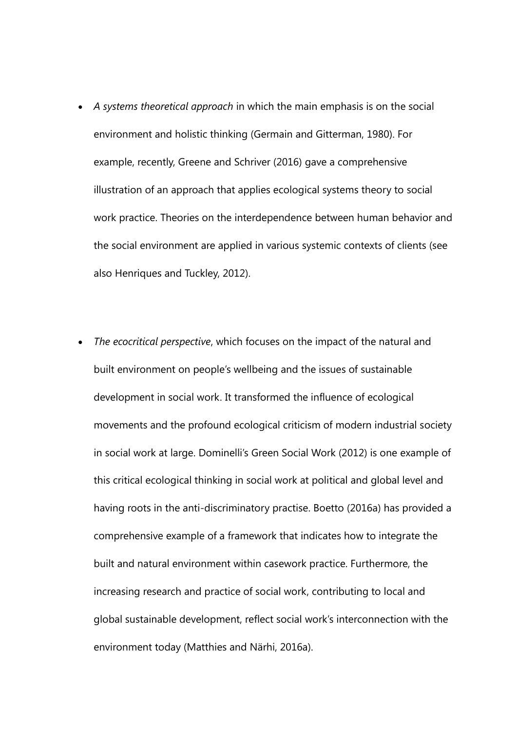- *A systems theoretical approach* in which the main emphasis is on the social environment and holistic thinking (Germain and Gitterman, 1980). For example, recently, Greene and Schriver (2016) gave a comprehensive illustration of an approach that applies ecological systems theory to social work practice. Theories on the interdependence between human behavior and the social environment are applied in various systemic contexts of clients (see also Henriques and Tuckley, 2012).
- *The ecocritical perspective*, which focuses on the impact of the natural and built environment on people's wellbeing and the issues of sustainable development in social work. It transformed the influence of ecological movements and the profound ecological criticism of modern industrial society in social work at large. Dominelli's Green Social Work (2012) is one example of this critical ecological thinking in social work at political and global level and having roots in the anti-discriminatory practise. Boetto (2016a) has provided a comprehensive example of a framework that indicates how to integrate the built and natural environment within casework practice. Furthermore, the increasing research and practice of social work, contributing to local and global sustainable development, reflect social work's interconnection with the environment today (Matthies and Närhi, 2016a).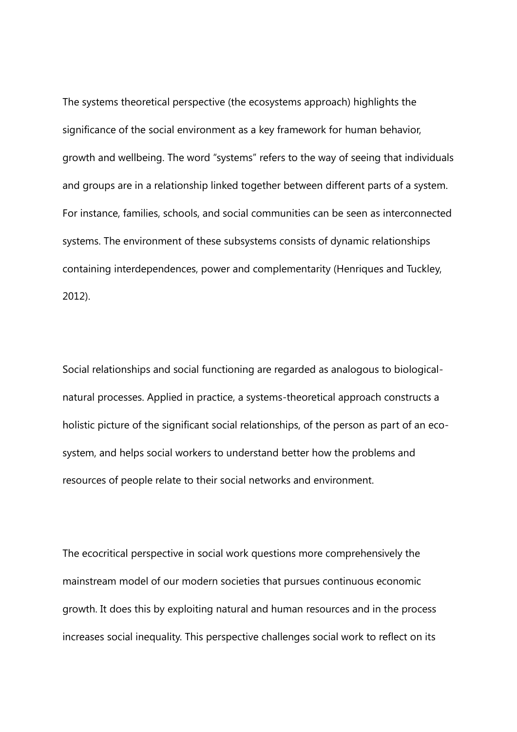The systems theoretical perspective (the ecosystems approach) highlights the significance of the social environment as a key framework for human behavior, growth and wellbeing. The word "systems" refers to the way of seeing that individuals and groups are in a relationship linked together between different parts of a system. For instance, families, schools, and social communities can be seen as interconnected systems. The environment of these subsystems consists of dynamic relationships containing interdependences, power and complementarity (Henriques and Tuckley, 2012).

Social relationships and social functioning are regarded as analogous to biologicalnatural processes. Applied in practice, a systems-theoretical approach constructs a holistic picture of the significant social relationships, of the person as part of an ecosystem, and helps social workers to understand better how the problems and resources of people relate to their social networks and environment.

The ecocritical perspective in social work questions more comprehensively the mainstream model of our modern societies that pursues continuous economic growth. It does this by exploiting natural and human resources and in the process increases social inequality. This perspective challenges social work to reflect on its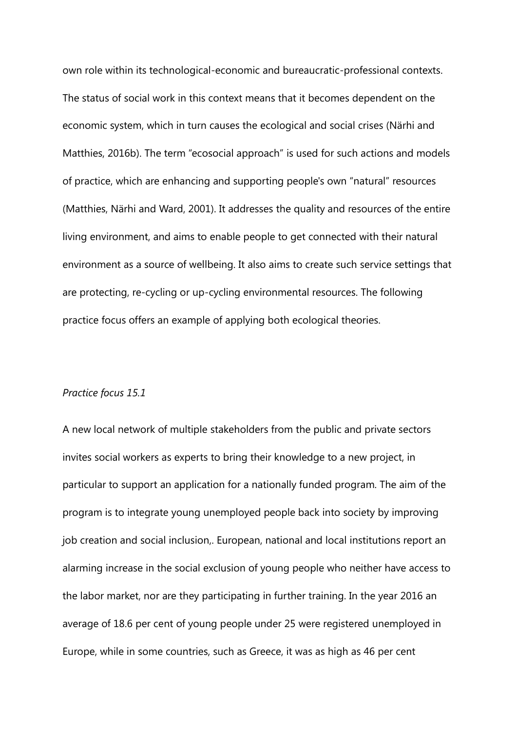own role within its technological-economic and bureaucratic-professional contexts. The status of social work in this context means that it becomes dependent on the economic system, which in turn causes the ecological and social crises (Närhi and Matthies, 2016b). The term "ecosocial approach" is used for such actions and models of practice, which are enhancing and supporting people's own "natural" resources (Matthies, Närhi and Ward, 2001). It addresses the quality and resources of the entire living environment, and aims to enable people to get connected with their natural environment as a source of wellbeing. It also aims to create such service settings that are protecting, re-cycling or up-cycling environmental resources. The following practice focus offers an example of applying both ecological theories.

#### *Practice focus 15.1*

A new local network of multiple stakeholders from the public and private sectors invites social workers as experts to bring their knowledge to a new project, in particular to support an application for a nationally funded program. The aim of the program is to integrate young unemployed people back into society by improving job creation and social inclusion,. European, national and local institutions report an alarming increase in the social exclusion of young people who neither have access to the labor market, nor are they participating in further training. In the year 2016 an average of 18.6 per cent of young people under 25 were registered unemployed in Europe, while in some countries, such as Greece, it was as high as 46 per cent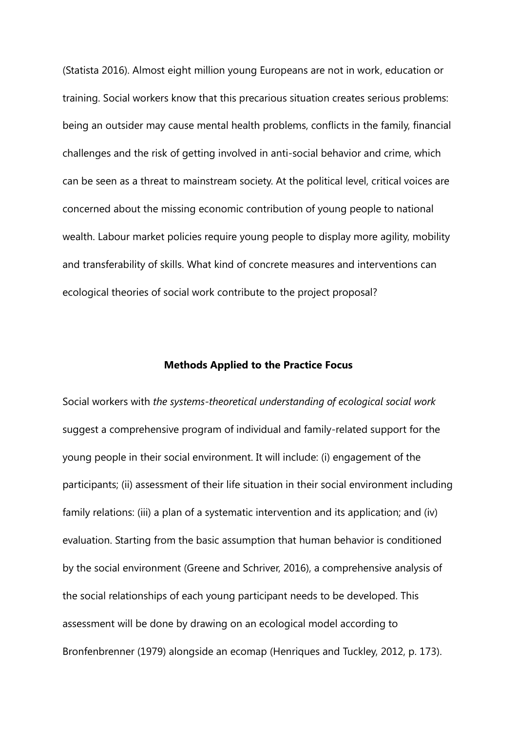(Statista 2016). Almost eight million young Europeans are not in work, education or training. Social workers know that this precarious situation creates serious problems: being an outsider may cause mental health problems, conflicts in the family, financial challenges and the risk of getting involved in anti-social behavior and crime, which can be seen as a threat to mainstream society. At the political level, critical voices are concerned about the missing economic contribution of young people to national wealth. Labour market policies require young people to display more agility, mobility and transferability of skills. What kind of concrete measures and interventions can ecological theories of social work contribute to the project proposal?

#### **Methods Applied to the Practice Focus**

Social workers with *the systems-theoretical understanding of ecological social work* suggest a comprehensive program of individual and family-related support for the young people in their social environment. It will include: (i) engagement of the participants; (ii) assessment of their life situation in their social environment including family relations: (iii) a plan of a systematic intervention and its application; and (iv) evaluation. Starting from the basic assumption that human behavior is conditioned by the social environment (Greene and Schriver, 2016), a comprehensive analysis of the social relationships of each young participant needs to be developed. This assessment will be done by drawing on an ecological model according to Bronfenbrenner (1979) alongside an ecomap (Henriques and Tuckley, 2012, p. 173).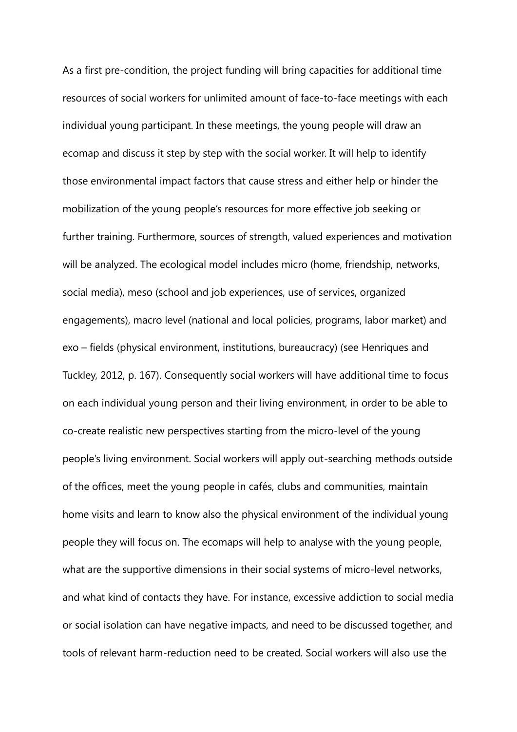As a first pre-condition, the project funding will bring capacities for additional time resources of social workers for unlimited amount of face-to-face meetings with each individual young participant. In these meetings, the young people will draw an ecomap and discuss it step by step with the social worker. It will help to identify those environmental impact factors that cause stress and either help or hinder the mobilization of the young people's resources for more effective job seeking or further training. Furthermore, sources of strength, valued experiences and motivation will be analyzed. The ecological model includes micro (home, friendship, networks, social media), meso (school and job experiences, use of services, organized engagements), macro level (national and local policies, programs, labor market) and exo – fields (physical environment, institutions, bureaucracy) (see Henriques and Tuckley, 2012, p. 167). Consequently social workers will have additional time to focus on each individual young person and their living environment, in order to be able to co-create realistic new perspectives starting from the micro-level of the young people's living environment. Social workers will apply out-searching methods outside of the offices, meet the young people in cafés, clubs and communities, maintain home visits and learn to know also the physical environment of the individual young people they will focus on. The ecomaps will help to analyse with the young people, what are the supportive dimensions in their social systems of micro-level networks, and what kind of contacts they have. For instance, excessive addiction to social media or social isolation can have negative impacts, and need to be discussed together, and tools of relevant harm-reduction need to be created. Social workers will also use the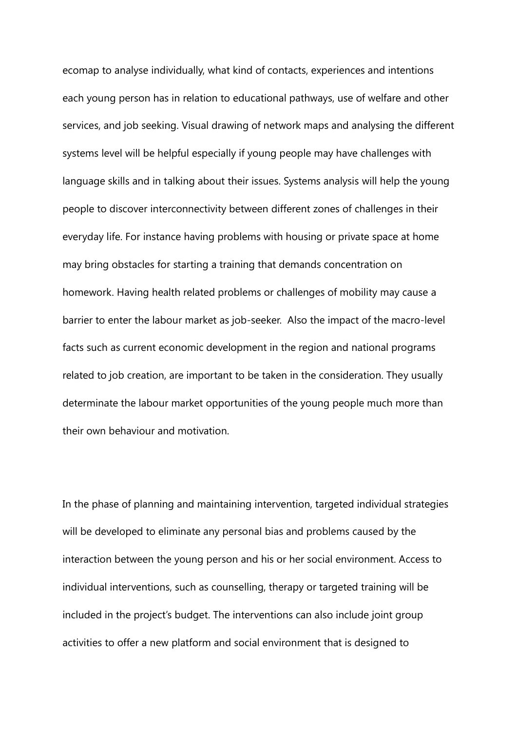ecomap to analyse individually, what kind of contacts, experiences and intentions each young person has in relation to educational pathways, use of welfare and other services, and job seeking. Visual drawing of network maps and analysing the different systems level will be helpful especially if young people may have challenges with language skills and in talking about their issues. Systems analysis will help the young people to discover interconnectivity between different zones of challenges in their everyday life. For instance having problems with housing or private space at home may bring obstacles for starting a training that demands concentration on homework. Having health related problems or challenges of mobility may cause a barrier to enter the labour market as job-seeker. Also the impact of the macro-level facts such as current economic development in the region and national programs related to job creation, are important to be taken in the consideration. They usually determinate the labour market opportunities of the young people much more than their own behaviour and motivation.

In the phase of planning and maintaining intervention, targeted individual strategies will be developed to eliminate any personal bias and problems caused by the interaction between the young person and his or her social environment. Access to individual interventions, such as counselling, therapy or targeted training will be included in the project's budget. The interventions can also include joint group activities to offer a new platform and social environment that is designed to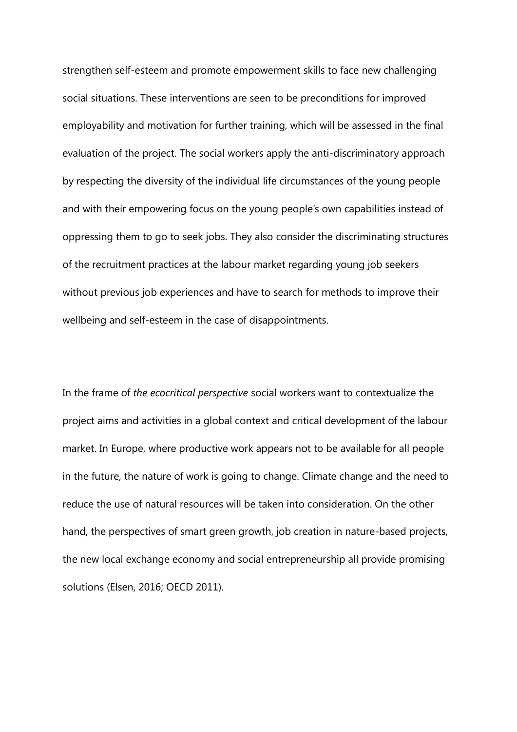strengthen self-esteem and promote empowerment skills to face new challenging social situations. These interventions are seen to be preconditions for improved employability and motivation for further training, which will be assessed in the final evaluation of the project. The social workers apply the anti-discriminatory approach by respecting the diversity of the individual life circumstances of the young people and with their empowering focus on the young people's own capabilities instead of oppressing them to go to seek jobs. They also consider the discriminating structures of the recruitment practices at the labour market regarding young job seekers without previous job experiences and have to search for methods to improve their wellbeing and self-esteem in the case of disappointments.

In the frame of *the ecocritical perspective* social workers want to contextualize the project aims and activities in a global context and critical development of the labour market. In Europe, where productive work appears not to be available for all people in the future, the nature of work is going to change. Climate change and the need to reduce the use of natural resources will be taken into consideration. On the other hand, the perspectives of smart green growth, job creation in nature-based projects, the new local exchange economy and social entrepreneurship all provide promising solutions (Elsen, 2016; OECD 2011).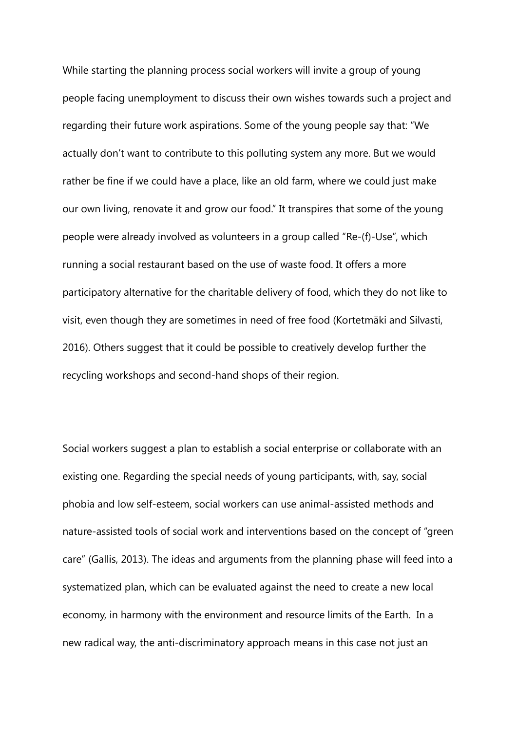While starting the planning process social workers will invite a group of young people facing unemployment to discuss their own wishes towards such a project and regarding their future work aspirations. Some of the young people say that: "We actually don't want to contribute to this polluting system any more. But we would rather be fine if we could have a place, like an old farm, where we could just make our own living, renovate it and grow our food." It transpires that some of the young people were already involved as volunteers in a group called "Re-(f)-Use", which running a social restaurant based on the use of waste food. It offers a more participatory alternative for the charitable delivery of food, which they do not like to visit, even though they are sometimes in need of free food (Kortetmäki and Silvasti, 2016). Others suggest that it could be possible to creatively develop further the recycling workshops and second-hand shops of their region.

Social workers suggest a plan to establish a social enterprise or collaborate with an existing one. Regarding the special needs of young participants, with, say, social phobia and low self-esteem, social workers can use animal-assisted methods and nature-assisted tools of social work and interventions based on the concept of "green care" (Gallis, 2013). The ideas and arguments from the planning phase will feed into a systematized plan, which can be evaluated against the need to create a new local economy, in harmony with the environment and resource limits of the Earth. In a new radical way, the anti-discriminatory approach means in this case not just an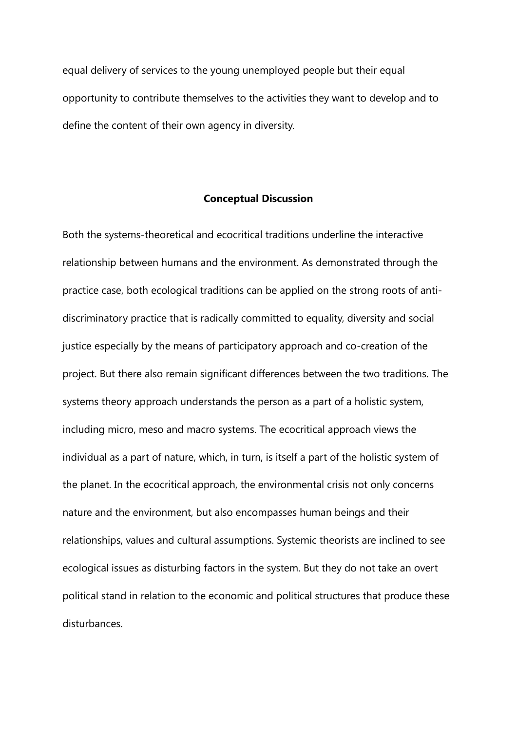equal delivery of services to the young unemployed people but their equal opportunity to contribute themselves to the activities they want to develop and to define the content of their own agency in diversity.

#### **Conceptual Discussion**

Both the systems-theoretical and ecocritical traditions underline the interactive relationship between humans and the environment. As demonstrated through the practice case, both ecological traditions can be applied on the strong roots of antidiscriminatory practice that is radically committed to equality, diversity and social justice especially by the means of participatory approach and co-creation of the project. But there also remain significant differences between the two traditions. The systems theory approach understands the person as a part of a holistic system, including micro, meso and macro systems. The ecocritical approach views the individual as a part of nature, which, in turn, is itself a part of the holistic system of the planet. In the ecocritical approach, the environmental crisis not only concerns nature and the environment, but also encompasses human beings and their relationships, values and cultural assumptions. Systemic theorists are inclined to see ecological issues as disturbing factors in the system. But they do not take an overt political stand in relation to the economic and political structures that produce these disturbances.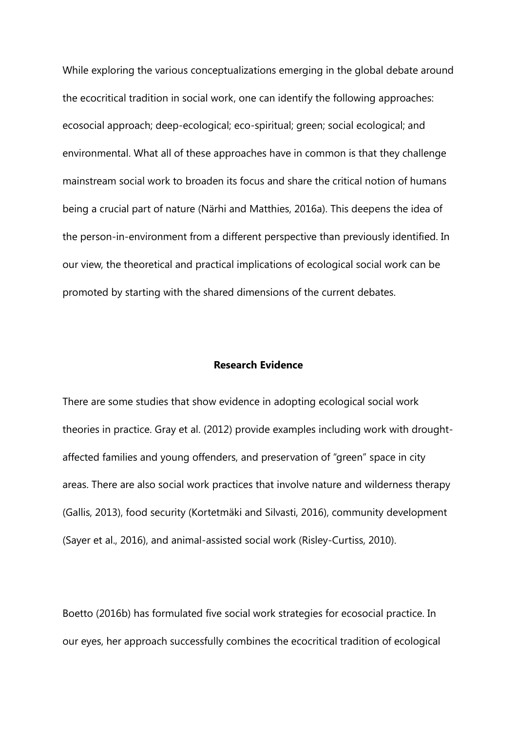While exploring the various conceptualizations emerging in the global debate around the ecocritical tradition in social work, one can identify the following approaches: ecosocial approach; deep-ecological; eco-spiritual; green; social ecological; and environmental. What all of these approaches have in common is that they challenge mainstream social work to broaden its focus and share the critical notion of humans being a crucial part of nature (Närhi and Matthies, 2016a). This deepens the idea of the person-in-environment from a different perspective than previously identified. In our view, the theoretical and practical implications of ecological social work can be promoted by starting with the shared dimensions of the current debates.

#### **Research Evidence**

There are some studies that show evidence in adopting ecological social work theories in practice. Gray et al. (2012) provide examples including work with droughtaffected families and young offenders, and preservation of "green" space in city areas. There are also social work practices that involve nature and wilderness therapy (Gallis, 2013), food security (Kortetmäki and Silvasti, 2016), community development (Sayer et al., 2016), and animal-assisted social work (Risley-Curtiss, 2010).

Boetto (2016b) has formulated five social work strategies for ecosocial practice. In our eyes, her approach successfully combines the ecocritical tradition of ecological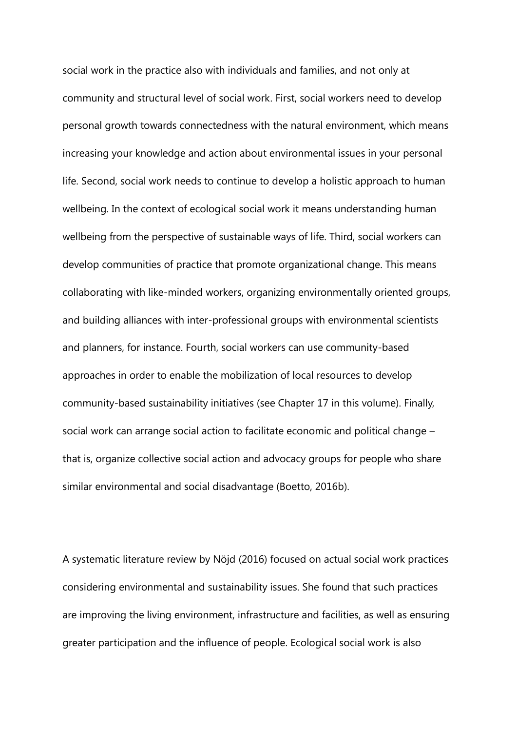social work in the practice also with individuals and families, and not only at community and structural level of social work. First, social workers need to develop personal growth towards connectedness with the natural environment, which means increasing your knowledge and action about environmental issues in your personal life. Second, social work needs to continue to develop a holistic approach to human wellbeing. In the context of ecological social work it means understanding human wellbeing from the perspective of sustainable ways of life. Third, social workers can develop communities of practice that promote organizational change. This means collaborating with like-minded workers, organizing environmentally oriented groups, and building alliances with inter-professional groups with environmental scientists and planners, for instance. Fourth, social workers can use community-based approaches in order to enable the mobilization of local resources to develop community-based sustainability initiatives (see Chapter 17 in this volume). Finally, social work can arrange social action to facilitate economic and political change – that is, organize collective social action and advocacy groups for people who share similar environmental and social disadvantage (Boetto, 2016b).

A systematic literature review by Nöjd (2016) focused on actual social work practices considering environmental and sustainability issues. She found that such practices are improving the living environment, infrastructure and facilities, as well as ensuring greater participation and the influence of people. Ecological social work is also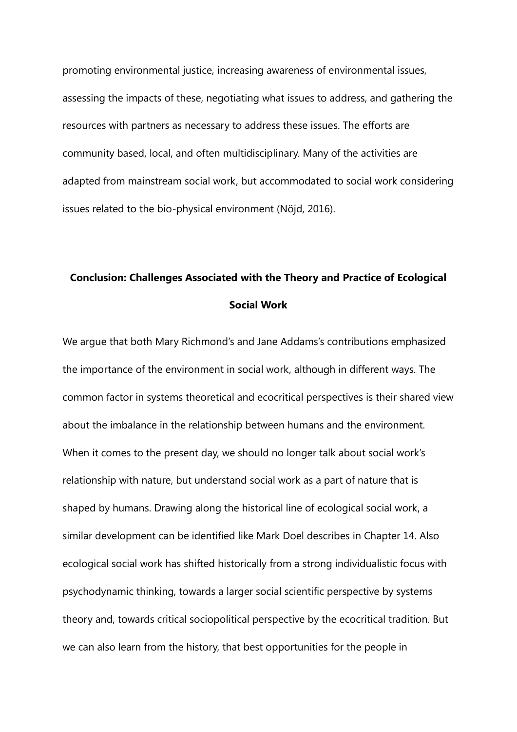promoting environmental justice, increasing awareness of environmental issues, assessing the impacts of these, negotiating what issues to address, and gathering the resources with partners as necessary to address these issues. The efforts are community based, local, and often multidisciplinary. Many of the activities are adapted from mainstream social work, but accommodated to social work considering issues related to the bio-physical environment (Nöjd, 2016).

# **Conclusion: Challenges Associated with the Theory and Practice of Ecological Social Work**

We argue that both Mary Richmond's and Jane Addams's contributions emphasized the importance of the environment in social work, although in different ways. The common factor in systems theoretical and ecocritical perspectives is their shared view about the imbalance in the relationship between humans and the environment. When it comes to the present day, we should no longer talk about social work's relationship with nature, but understand social work as a part of nature that is shaped by humans. Drawing along the historical line of ecological social work, a similar development can be identified like Mark Doel describes in Chapter 14. Also ecological social work has shifted historically from a strong individualistic focus with psychodynamic thinking, towards a larger social scientific perspective by systems theory and, towards critical sociopolitical perspective by the ecocritical tradition. But we can also learn from the history, that best opportunities for the people in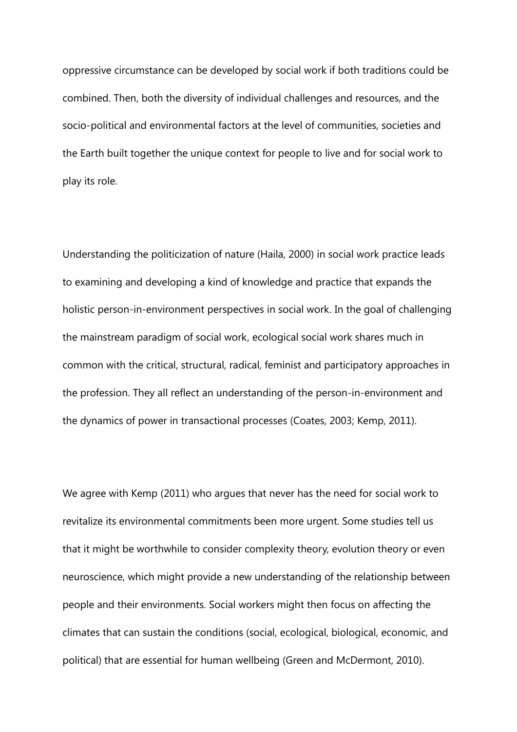oppressive circumstance can be developed by social work if both traditions could be combined. Then, both the diversity of individual challenges and resources, and the socio-political and environmental factors at the level of communities, societies and the Earth built together the unique context for people to live and for social work to play its role.

Understanding the politicization of nature (Haila, 2000) in social work practice leads to examining and developing a kind of knowledge and practice that expands the holistic person-in-environment perspectives in social work. In the goal of challenging the mainstream paradigm of social work, ecological social work shares much in common with the critical, structural, radical, feminist and participatory approaches in the profession. They all reflect an understanding of the person-in-environment and the dynamics of power in transactional processes (Coates, 2003; Kemp, 2011).

We agree with Kemp (2011) who argues that never has the need for social work to revitalize its environmental commitments been more urgent. Some studies tell us that it might be worthwhile to consider complexity theory, evolution theory or even neuroscience, which might provide a new understanding of the relationship between people and their environments. Social workers might then focus on affecting the climates that can sustain the conditions (social, ecological, biological, economic, and political) that are essential for human wellbeing (Green and McDermont, 2010).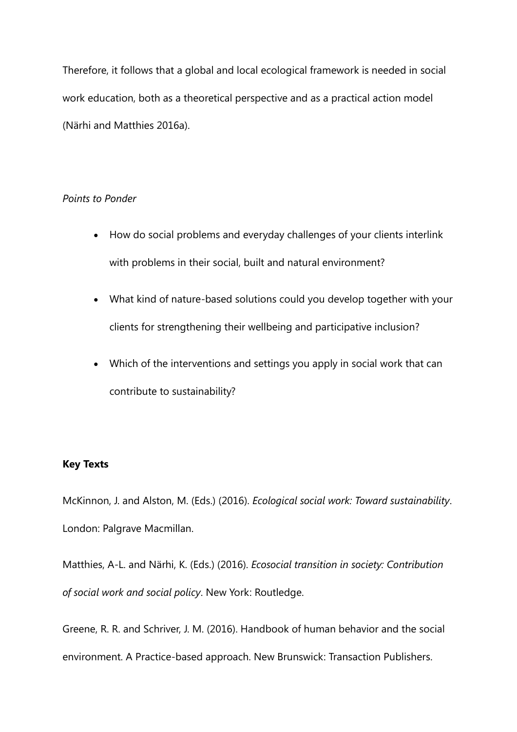Therefore, it follows that a global and local ecological framework is needed in social work education, both as a theoretical perspective and as a practical action model (Närhi and Matthies 2016a).

## *Points to Ponder*

- How do social problems and everyday challenges of your clients interlink with problems in their social, built and natural environment?
- What kind of nature-based solutions could you develop together with your clients for strengthening their wellbeing and participative inclusion?
- Which of the interventions and settings you apply in social work that can contribute to sustainability?

# **Key Texts**

McKinnon, J. and Alston, M. (Eds.) (2016). *Ecological social work: Toward sustainability*. London: Palgrave Macmillan.

Matthies, A-L. and Närhi, K. (Eds.) (2016). *Ecosocial transition in society: Contribution of social work and social policy*. New York: Routledge.

Greene, R. R. and Schriver, J. M. (2016). Handbook of human behavior and the social environment. A Practice-based approach. New Brunswick: Transaction Publishers.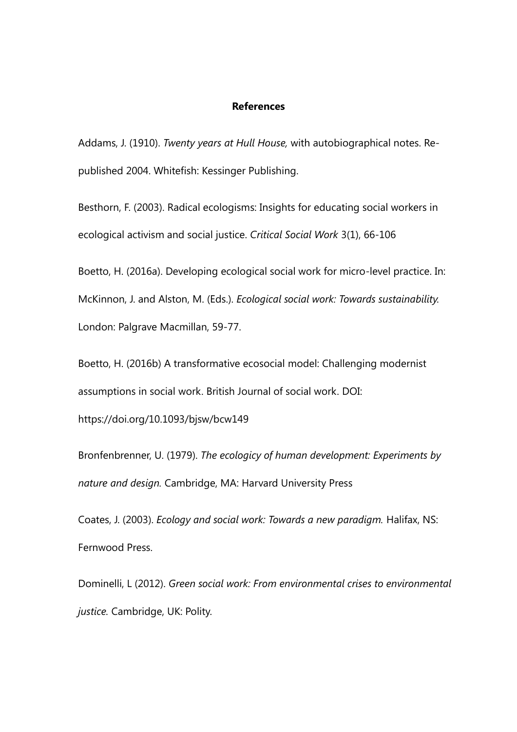#### **References**

Addams, J. (1910). *Twenty years at Hull House,* with autobiographical notes. Republished 2004. Whitefish: Kessinger Publishing.

Besthorn, F. (2003). Radical ecologisms: Insights for educating social workers in ecological activism and social justice. *Critical Social Work* 3(1), 66-106

Boetto, H. (2016a). Developing ecological social work for micro-level practice. In: McKinnon, J. and Alston, M. (Eds.). *Ecological social work: Towards sustainability.*  London: Palgrave Macmillan, 59-77.

Boetto, H. (2016b) A transformative ecosocial model: Challenging modernist assumptions in social work. British Journal of social work. DOI:

https://doi.org/10.1093/bjsw/bcw149

Bronfenbrenner, U. (1979). *The ecologicy of human development: Experiments by nature and design.* Cambridge, MA: Harvard University Press

Coates, J. (2003). *Ecology and social work: Towards a new paradigm.* Halifax, NS: Fernwood Press.

Dominelli, L (2012). *Green social work: From environmental crises to environmental justice.* Cambridge, UK: Polity.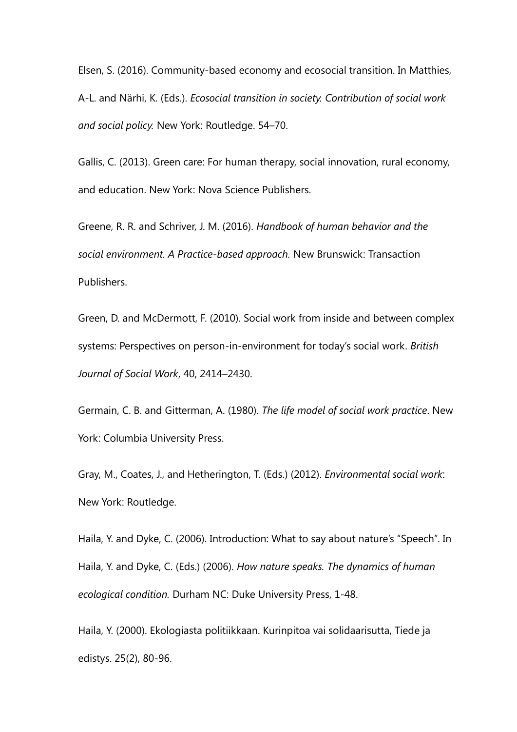Elsen, S. (2016). Community-based economy and ecosocial transition. In Matthies, A-L. and Närhi, K. (Eds.). *Ecosocial transition in society. Contribution of social work and social policy.* New York: Routledge. 54–70.

Gallis, C. (2013). Green care: For human therapy, social innovation, rural economy, and education. New York: Nova Science Publishers.

Greene, R. R. and Schriver, J. M. (2016). *Handbook of human behavior and the social environment. A Practice-based approach.* New Brunswick: Transaction Publishers.

Green, D. and McDermott, F. (2010). Social work from inside and between complex systems: Perspectives on person-in-environment for today's social work. *British Journal of Social Work*, 40, 2414–2430.

Germain, C. B. and Gitterman, A. (1980). *The life model of social work practice*. New York: Columbia University Press.

Gray, M., Coates, J., and Hetherington, T. (Eds.) (2012). *Environmental social work*: New York: Routledge.

Haila, Y. and Dyke, C. (2006). Introduction: What to say about nature's "Speech". In Haila, Y. and Dyke, C. (Eds.) (2006). *How nature speaks. The dynamics of human ecological condition.* Durham NC: Duke University Press, 1-48.

Haila, Y. (2000). Ekologiasta politiikkaan. Kurinpitoa vai solidaarisutta, Tiede ja edistys. 25(2), 80-96.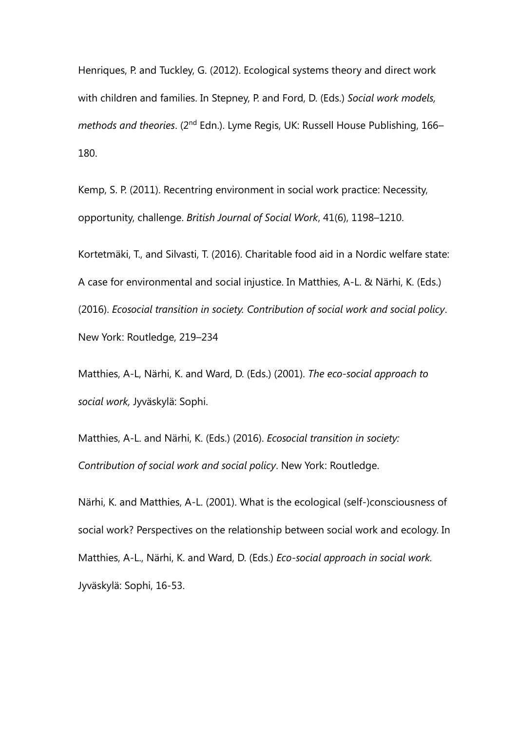Henriques, P. and Tuckley, G. (2012). Ecological systems theory and direct work with children and families. In Stepney, P. and Ford, D. (Eds.) *Social work models, methods and theories*. (2nd Edn.). Lyme Regis, UK: Russell House Publishing, 166– 180.

Kemp, S. P. (2011). Recentring environment in social work practice: Necessity, opportunity, challenge. *British Journal of Social Work*, 41(6), 1198–1210.

Kortetmäki, T., and Silvasti, T. (2016). Charitable food aid in a Nordic welfare state: A case for environmental and social injustice. In Matthies, A-L. & Närhi, K. (Eds.) (2016). *Ecosocial transition in society. Contribution of social work and social policy*. New York: Routledge, 219–234

Matthies, A-L, Närhi, K. and Ward, D. (Eds.) (2001). *The eco-social approach to social work,* Jyväskylä: Sophi.

Matthies, A-L. and Närhi, K. (Eds.) (2016). *Ecosocial transition in society: Contribution of social work and social policy*. New York: Routledge.

Närhi, K. and Matthies, A-L. (2001). What is the ecological (self-)consciousness of social work? Perspectives on the relationship between social work and ecology. In Matthies, A-L., Närhi, K. and Ward, D. (Eds.) *Eco-social approach in social work.* Jyväskylä: Sophi, 16-53.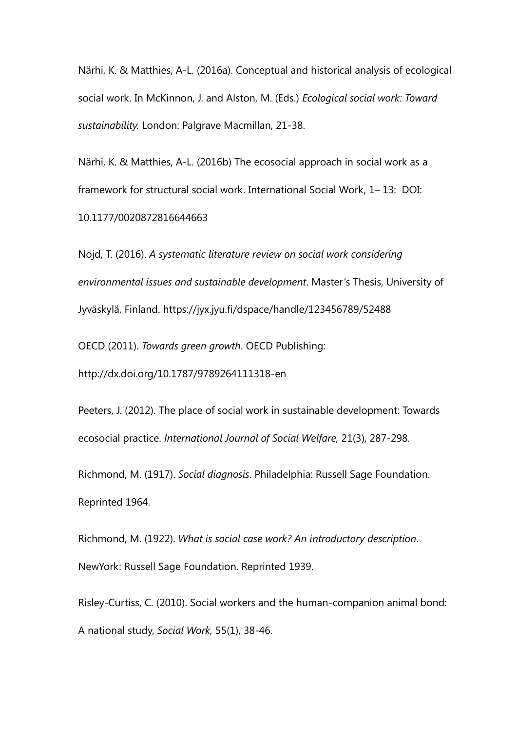Närhi, K. & Matthies, A-L. (2016a). Conceptual and historical analysis of ecological social work. In McKinnon, J. and Alston, M. (Eds.) *Ecological social work: Toward sustainability.* London: Palgrave Macmillan, 21-38.

Närhi, K. & Matthies, A-L. (2016b) The ecosocial approach in social work as a framework for structural social work. International Social Work, 1– 13: DOI: 10.1177/0020872816644663

Nöjd, T. (2016). *A systematic literature review on social work considering environmental issues and sustainable development*. Master's Thesis, University of Jyväskylä, Finland. https://jyx.jyu.fi/dspace/handle/123456789/52488

OECD (2011). *Towards green growth*. OECD Publishing:

http://dx.doi.org/10.1787/9789264111318-en

Peeters, J. (2012). The place of social work in sustainable development: Towards ecosocial practice. *International Journal of Social Welfare,* 21(3), 287-298.

Richmond, M. (1917). *Social diagnosis*. Philadelphia: Russell Sage Foundation. Reprinted 1964.

Richmond, M. (1922). *What is social case work? An introductory description*. NewYork: Russell Sage Foundation. Reprinted 1939.

Risley-Curtiss, C. (2010). Social workers and the human-companion animal bond: A national study, *Social Work,* 55(1), 38-46.